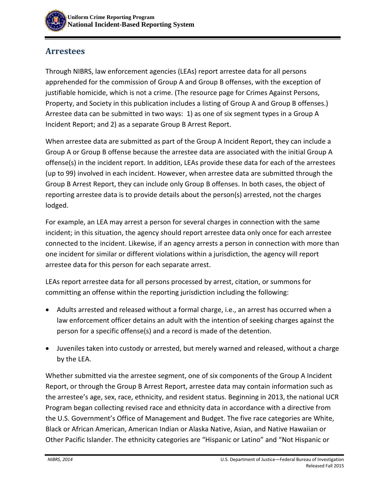

## **Arrestees**

Through NIBRS, law enforcement agencies (LEAs) report arrestee data for all persons apprehended for the commission of Group A and Group B offenses, with the exception of justifiable homicide, which is not a crime. (The resource page for Crimes Against Persons, Property, and Society in this publication includes a listing of Group A and Group B offenses.) Arrestee data can be submitted in two ways: 1) as one of six segment types in a Group A Incident Report; and 2) as a separate Group B Arrest Report.

When arrestee data are submitted as part of the Group A Incident Report, they can include a Group A or Group B offense because the arrestee data are associated with the initial Group A offense(s) in the incident report. In addition, LEAs provide these data for each of the arrestees (up to 99) involved in each incident. However, when arrestee data are submitted through the Group B Arrest Report, they can include only Group B offenses. In both cases, the object of reporting arrestee data is to provide details about the person(s) arrested, not the charges lodged.

For example, an LEA may arrest a person for several charges in connection with the same incident; in this situation, the agency should report arrestee data only once for each arrestee connected to the incident. Likewise, if an agency arrests a person in connection with more than one incident for similar or different violations within a jurisdiction, the agency will report arrestee data for this person for each separate arrest.

LEAs report arrestee data for all persons processed by arrest, citation, or summons for committing an offense within the reporting jurisdiction including the following:

- Adults arrested and released without a formal charge, i.e., an arrest has occurred when a law enforcement officer detains an adult with the intention of seeking charges against the person for a specific offense(s) and a record is made of the detention.
- Juveniles taken into custody or arrested, but merely warned and released, without a charge by the LEA.

Whether submitted via the arrestee segment, one of six components of the Group A Incident Report, or through the Group B Arrest Report, arrestee data may contain information such as the arrestee's age, sex, race, ethnicity, and resident status. Beginning in 2013, the national UCR Program began collecting revised race and ethnicity data in accordance with a directive from the U.S. Government's Office of Management and Budget. The five race categories are White, Black or African American, American Indian or Alaska Native, Asian, and Native Hawaiian or Other Pacific Islander. The ethnicity categories are "Hispanic or Latino" and "Not Hispanic or